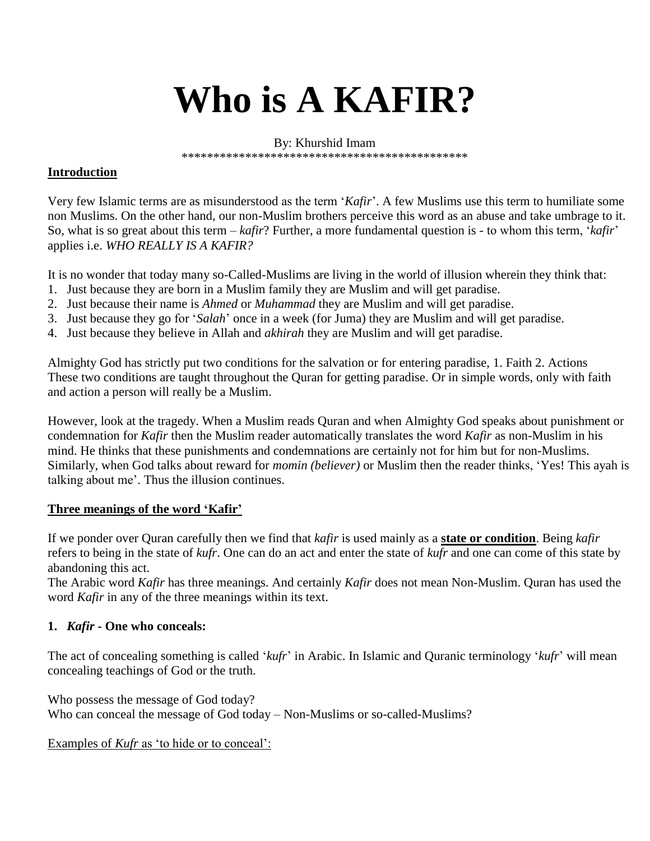# **Who is A KAFIR?**

By: Khurshid Imam

\*\*\*\*\*\*\*\*\*\*\*\*\*\*\*\*\*\*\*\*\*\*\*\*\*\*\*\*\*\*\*\*\*\*\*\*\*\*\*\*\*\*\*\*\*

#### **Introduction**

Very few Islamic terms are as misunderstood as the term '*Kafir*'. A few Muslims use this term to humiliate some non Muslims. On the other hand, our non-Muslim brothers perceive this word as an abuse and take umbrage to it. So, what is so great about this term – *kafir*? Further, a more fundamental question is - to whom this term, '*kafir*' applies i.e. *WHO REALLY IS A KAFIR?*

It is no wonder that today many so-Called-Muslims are living in the world of illusion wherein they think that:

- 1. Just because they are born in a Muslim family they are Muslim and will get paradise.
- 2. Just because their name is *Ahmed* or *Muhammad* they are Muslim and will get paradise.
- 3. Just because they go for '*Salah*' once in a week (for Juma) they are Muslim and will get paradise.
- 4. Just because they believe in Allah and *akhirah* they are Muslim and will get paradise.

Almighty God has strictly put two conditions for the salvation or for entering paradise, 1. Faith 2. Actions These two conditions are taught throughout the Quran for getting paradise. Or in simple words, only with faith and action a person will really be a Muslim.

However, look at the tragedy. When a Muslim reads Quran and when Almighty God speaks about punishment or condemnation for *Kafir* then the Muslim reader automatically translates the word *Kafir* as non-Muslim in his mind. He thinks that these punishments and condemnations are certainly not for him but for non-Muslims. Similarly, when God talks about reward for *momin (believer)* or Muslim then the reader thinks, 'Yes! This ayah is talking about me'. Thus the illusion continues.

#### **Three meanings of the word 'Kafir'**

If we ponder over Quran carefully then we find that *kafir* is used mainly as a **state or condition**. Being *kafir* refers to being in the state of *kufr*. One can do an act and enter the state of *kufr* and one can come of this state by abandoning this act.

The Arabic word *Kafir* has three meanings. And certainly *Kafir* does not mean Non-Muslim. Quran has used the word *Kafir* in any of the three meanings within its text.

#### **1.** *Kafir* **- One who conceals:**

The act of concealing something is called '*kufr*' in Arabic. In Islamic and Quranic terminology '*kufr*' will mean concealing teachings of God or the truth.

Who possess the message of God today? Who can conceal the message of God today – Non-Muslims or so-called-Muslims?

Examples of *Kufr* as 'to hide or to conceal':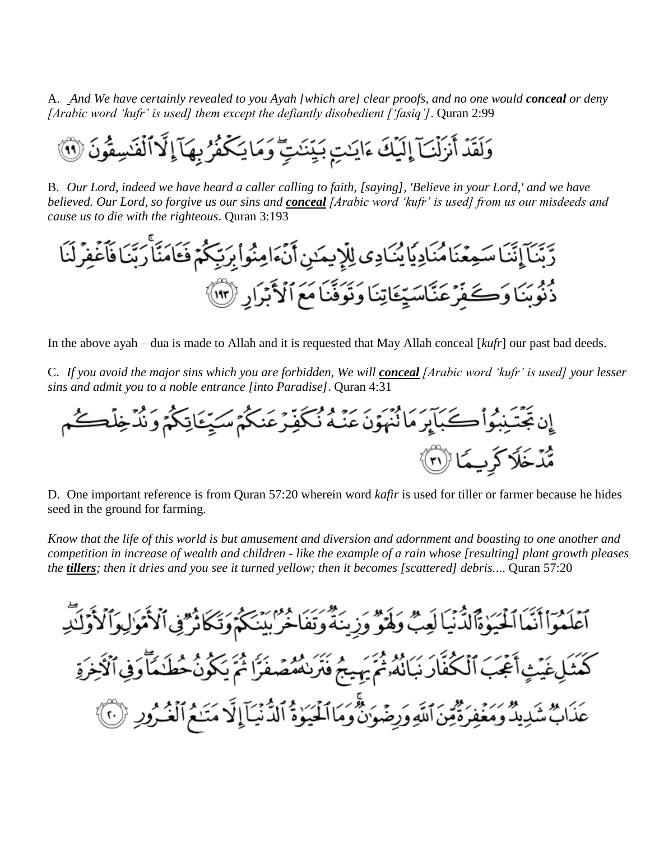A. *And We have certainly revealed to you Ayah [which are] clear proofs, and no one would conceal or deny [Arabic word 'kufr' is used] them except the defiantly disobedient ['fasiq']*. Quran 2:99

B. *Our Lord, indeed we have heard a caller calling to faith, [saying], 'Believe in your Lord,' and we have believed. Our Lord, so forgive us our sins and conceal [Arabic word 'kufr' is used] from us our misdeeds and cause us to die with the righteous*. Quran 3:193



In the above ayah – dua is made to Allah and it is requested that May Allah conceal [*kufr*] our past bad deeds.

C. *If you avoid the major sins which you are forbidden, We will conceal [Arabic word 'kufr' is used] your lesser sins and admit you to a noble entrance [into Paradise]*. Quran 4:31



D. One important reference is from Quran 57:20 wherein word *kafir* is used for tiller or farmer because he hides seed in the ground for farming.

*Know that the life of this world is but amusement and diversion and adornment and boasting to one another and competition in increase of wealth and children - like the example of a rain whose [resulting] plant growth pleases the tillers; then it dries and you see it turned yellow; then it becomes [scattered] debris.*... Quran 57:20

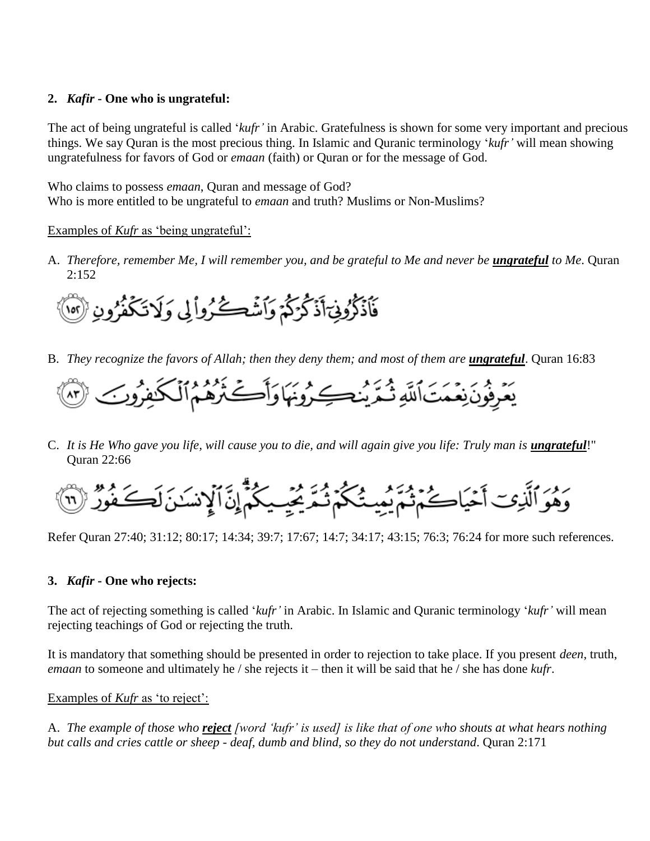### **2.** *Kafir* **- One who is ungrateful:**

The act of being ungrateful is called '*kufr'* in Arabic. Gratefulness is shown for some very important and precious things. We say Quran is the most precious thing. In Islamic and Quranic terminology '*kufr'* will mean showing ungratefulness for favors of God or *emaan* (faith) or Quran or for the message of God.

Who claims to possess *emaan*, Quran and message of God? Who is more entitled to be ungrateful to *emaan* and truth? Muslims or Non-Muslims?

#### Examples of *Kufr* as 'being ungrateful':

A. *Therefore, remember Me, I will remember you, and be grateful to Me and never be <i>ungrateful* to Me. Quran  $2:152$ 



B. *They recognize the favors of Allah; then they deny them; and most of them are ungrateful*. Quran 16:83



C. It is He Who gave you life, will cause you to die, and will again give you life: Truly man is **ungrateful!**" Quran 22:66

Refer Quran 27:40; 31:12; 80:17; 14:34; 39:7; 17:67; 14:7; 34:17; 43:15; 76:3; 76:24 for more such references.

## **3.** *Kafir* **- One who rejects:**

The act of rejecting something is called '*kufr'* in Arabic. In Islamic and Quranic terminology '*kufr'* will mean rejecting teachings of God or rejecting the truth.

It is mandatory that something should be presented in order to rejection to take place. If you present *deen*, truth, *emaan* to someone and ultimately he / she rejects it – then it will be said that he / she has done *kufr*.

Examples of *Kufr* as 'to reject':

A. *The example of those who reject [word 'kufr' is used] is like that of one who shouts at what hears nothing but calls and cries cattle or sheep - deaf, dumb and blind, so they do not understand*. Quran 2:171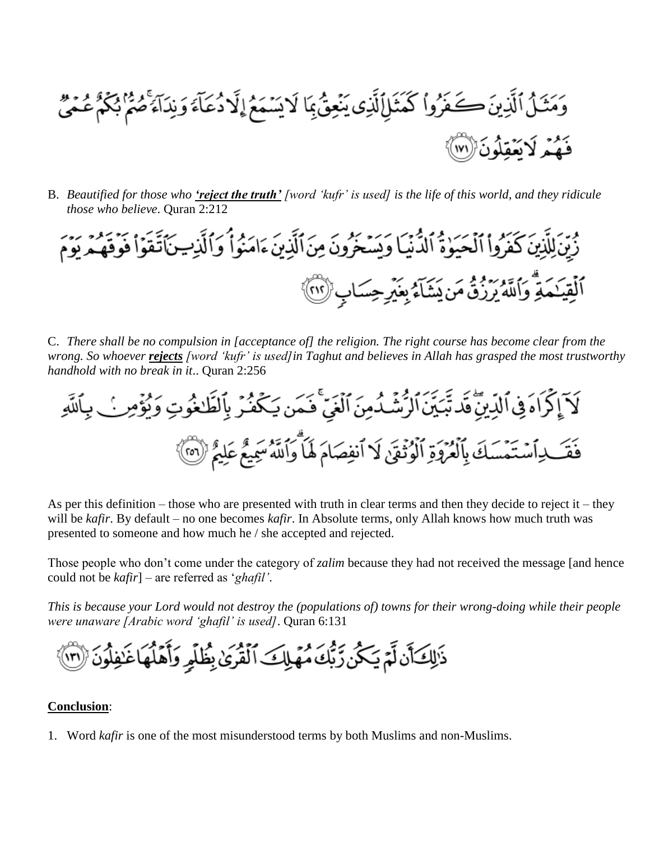وَمَثَـلُ ٱلَّذِينَ كَـضَوُواْ كَمَثَـلِٱلَّذِى يَنۡعِقُ بِمَا لَا يَسۡمَعُ إِلَّا دُعَآءَ وَنِدَآءَ صُمۡمُ بُكُمُ عُمَىٰ فَهُمْ لَاتَعْقِلُونَ ((١٧١)

B. *Beautified for those who 'reject the truth' [word 'kufr' is used] is the life of this world, and they ridicule those who believe*. Quran 2:212



C. *There shall be no compulsion in [acceptance of] the religion. The right course has become clear from the wrong. So whoever rejects [word 'kufr' is used]in Taghut and believes in Allah has grasped the most trustworthy handhold with no break in it*.. Quran 2:256

لَآ إِكۡرَاهَ فِي ٱللَّهِ بِنَّ قَدۡ تَبَيِّنَ ٱلرُّشۡدُمِنَ ٱلۡغَيِّ فَـمَن يَكۡفُرۡ بِٱلظَّٰفُوتِ وَنُؤۡمِنَ بِٱللَّهِ فَقَــٰذِاَسۡتَمَسَكَ بِالۡفُرُوَةِ الۡوُثۡقَىٰ لَا اَنفِصَامَ لَهَا وَاللَّهُ سَمِيعُ عَلِيمٌ ۚ (@)

As per this definition – those who are presented with truth in clear terms and then they decide to reject it – they will be *kafir*. By default – no one becomes *kafir*. In Absolute terms, only Allah knows how much truth was presented to someone and how much he / she accepted and rejected.

Those people who don't come under the category of *zalim* because they had not received the message [and hence could not be *kafir*] – are referred as '*ghafil'*.

*This is because your Lord would not destroy the (populations of) towns for their wrong-doing while their people were unaware [Arabic word 'ghafil' is used]*. Quran 6:131

ذَلِكَ أَن لَّمْ يَكُن رِّبُّكَ مُهَلِكَ ٱلْقُرَىٰ بِظُلِّهِ وَأَهْلُهَاعَٰنِفِلُونَ ۞

#### **Conclusion**:

1. Word *kafir* is one of the most misunderstood terms by both Muslims and non-Muslims.